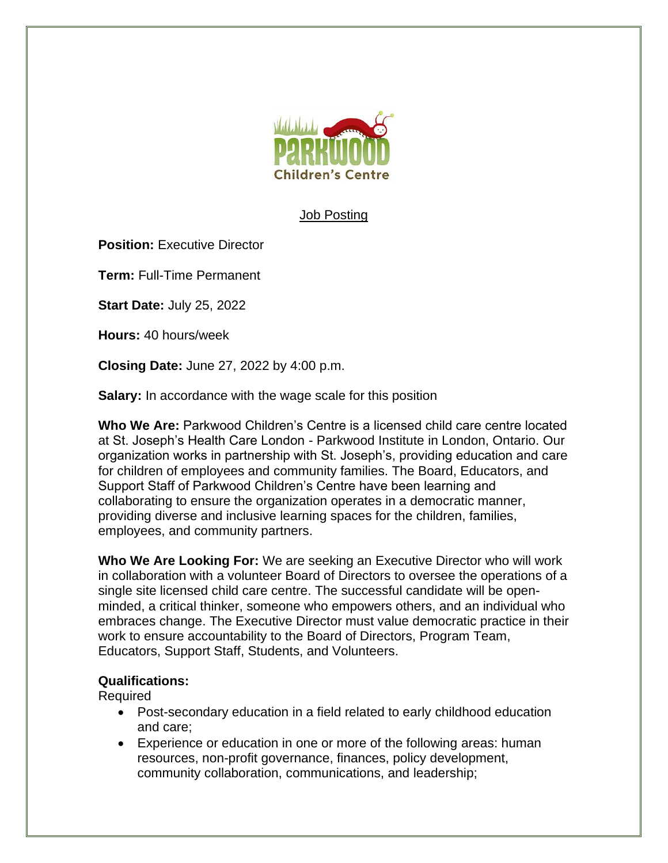

## **Job Posting**

**Position: Executive Director** 

**Term:** Full-Time Permanent

**Start Date:** July 25, 2022

**Hours:** 40 hours/week

**Closing Date:** June 27, 2022 by 4:00 p.m.

**Salary:** In accordance with the wage scale for this position

**Who We Are:** Parkwood Children's Centre is a licensed child care centre located at St. Joseph's Health Care London - Parkwood Institute in London, Ontario. Our organization works in partnership with St. Joseph's, providing education and care for children of employees and community families. The Board, Educators, and Support Staff of Parkwood Children's Centre have been learning and collaborating to ensure the organization operates in a democratic manner, providing diverse and inclusive learning spaces for the children, families, employees, and community partners.

**Who We Are Looking For:** We are seeking an Executive Director who will work in collaboration with a volunteer Board of Directors to oversee the operations of a single site licensed child care centre. The successful candidate will be openminded, a critical thinker, someone who empowers others, and an individual who embraces change. The Executive Director must value democratic practice in their work to ensure accountability to the Board of Directors, Program Team, Educators, Support Staff, Students, and Volunteers.

## **Qualifications:**

Required

- Post-secondary education in a field related to early childhood education and care;
- Experience or education in one or more of the following areas: human resources, non-profit governance, finances, policy development, community collaboration, communications, and leadership;